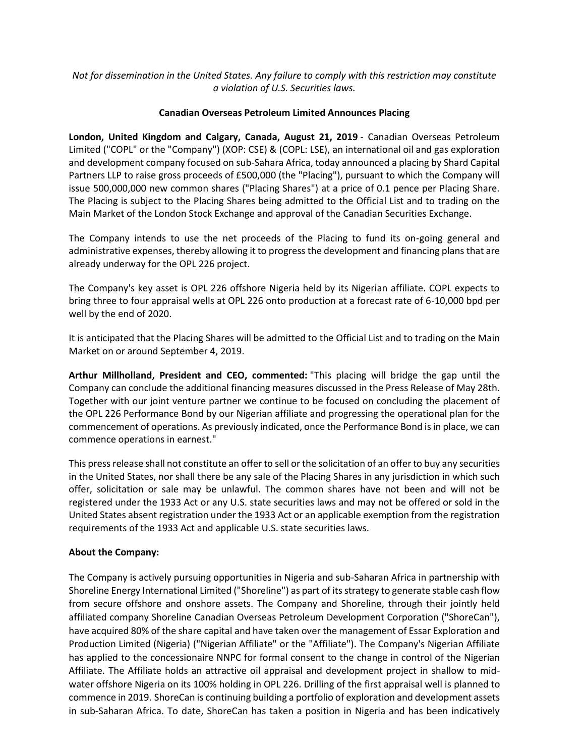## *Not for dissemination in the United States. Any failure to comply with this restriction may constitute a violation of U.S. Securities laws.*

## **Canadian Overseas Petroleum Limited Announces Placing**

**London, United Kingdom and Calgary, Canada, August 21, 2019** - Canadian Overseas Petroleum Limited ("COPL" or the "Company") (XOP: CSE) & (COPL: LSE), an international oil and gas exploration and development company focused on sub-Sahara Africa, today announced a placing by Shard Capital Partners LLP to raise gross proceeds of £500,000 (the "Placing"), pursuant to which the Company will issue 500,000,000 new common shares ("Placing Shares") at a price of 0.1 pence per Placing Share. The Placing is subject to the Placing Shares being admitted to the Official List and to trading on the Main Market of the London Stock Exchange and approval of the Canadian Securities Exchange.

The Company intends to use the net proceeds of the Placing to fund its on-going general and administrative expenses, thereby allowing it to progress the development and financing plans that are already underway for the OPL 226 project.

The Company's key asset is OPL 226 offshore Nigeria held by its Nigerian affiliate. COPL expects to bring three to four appraisal wells at OPL 226 onto production at a forecast rate of 6-10,000 bpd per well by the end of 2020.

It is anticipated that the Placing Shares will be admitted to the Official List and to trading on the Main Market on or around September 4, 2019.

**Arthur Millholland, President and CEO, commented:** "This placing will bridge the gap until the Company can conclude the additional financing measures discussed in the Press Release of May 28th. Together with our joint venture partner we continue to be focused on concluding the placement of the OPL 226 Performance Bond by our Nigerian affiliate and progressing the operational plan for the commencement of operations. As previously indicated, once the Performance Bond is in place, we can commence operations in earnest."

This press release shall not constitute an offer to sell or the solicitation of an offer to buy any securities in the United States, nor shall there be any sale of the Placing Shares in any jurisdiction in which such offer, solicitation or sale may be unlawful. The common shares have not been and will not be registered under the 1933 Act or any U.S. state securities laws and may not be offered or sold in the United States absent registration under the 1933 Act or an applicable exemption from the registration requirements of the 1933 Act and applicable U.S. state securities laws.

## **About the Company:**

The Company is actively pursuing opportunities in Nigeria and sub-Saharan Africa in partnership with Shoreline Energy International Limited ("Shoreline") as part of its strategy to generate stable cash flow from secure offshore and onshore assets. The Company and Shoreline, through their jointly held affiliated company Shoreline Canadian Overseas Petroleum Development Corporation ("ShoreCan"), have acquired 80% of the share capital and have taken over the management of Essar Exploration and Production Limited (Nigeria) ("Nigerian Affiliate" or the "Affiliate"). The Company's Nigerian Affiliate has applied to the concessionaire NNPC for formal consent to the change in control of the Nigerian Affiliate. The Affiliate holds an attractive oil appraisal and development project in shallow to midwater offshore Nigeria on its 100% holding in OPL 226. Drilling of the first appraisal well is planned to commence in 2019. ShoreCan is continuing building a portfolio of exploration and development assets in sub-Saharan Africa. To date, ShoreCan has taken a position in Nigeria and has been indicatively